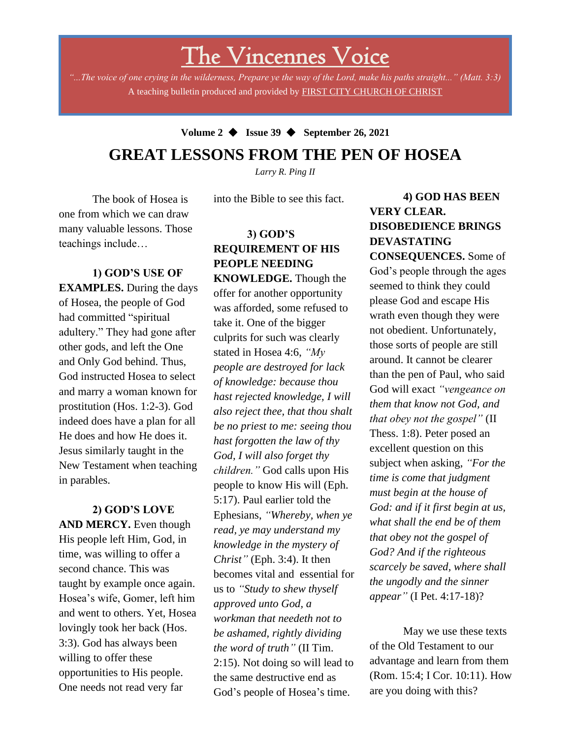# The Vincennes Voice

*"...The voice of one crying in the wilderness, Prepare ye the way of the Lord, make his paths straight..." (Matt. 3:3)* A teaching bulletin produced and provided by FIRST CITY CHURCH OF CHRIST

## **Volume 2** ◆ **Issue 39** ◆ **September 26, 2021 GREAT LESSONS FROM THE PEN OF HOSEA**

*Larry R. Ping II*

into the Bible to see this fact.

The book of Hosea is one from which we can draw many valuable lessons. Those teachings include…

**1) GOD'S USE OF EXAMPLES.** During the days of Hosea, the people of God had committed "spiritual adultery." They had gone after other gods, and left the One and Only God behind. Thus, God instructed Hosea to select and marry a woman known for prostitution (Hos. 1:2-3). God indeed does have a plan for all He does and how He does it. Jesus similarly taught in the New Testament when teaching in parables.

3:3). God has always been **2) GOD'S LOVE AND MERCY.** Even though His people left Him, God, in time, was willing to offer a second chance. This was taught by example once again. Hosea's wife, Gomer, left him and went to others. Yet, Hosea lovingly took her back (Hos. willing to offer these opportunities to His people. One needs not read very far

**3) GOD'S REQUIREMENT OF HIS PEOPLE NEEDING KNOWLEDGE.** Though the offer for another opportunity was afforded, some refused to take it. One of the bigger culprits for such was clearly stated in Hosea 4:6, *"My people are destroyed for lack of knowledge: because thou hast rejected knowledge, I will also reject thee, that thou shalt be no priest to me: seeing thou hast forgotten the law of thy God, I will also forget thy children."* God calls upon His people to know His will (Eph. 5:17). Paul earlier told the Ephesians, *"Whereby, when ye read, ye may understand my knowledge in the mystery of Christ"* (Eph. 3:4). It then becomes vital and essential for us to *"Study to shew thyself approved unto God, a workman that needeth not to be ashamed, rightly dividing the word of truth"* (II Tim. 2:15). Not doing so will lead to the same destructive end as God's people of Hosea's time.

## **4) GOD HAS BEEN VERY CLEAR. DISOBEDIENCE BRINGS DEVASTATING**

**CONSEQUENCES.** Some of God's people through the ages seemed to think they could please God and escape His wrath even though they were not obedient. Unfortunately, those sorts of people are still around. It cannot be clearer than the pen of Paul, who said God will exact *"vengeance on them that know not God, and that obey not the gospel"* (II Thess. 1:8). Peter posed an excellent question on this subject when asking, *"For the time is come that judgment must begin at the house of God: and if it first begin at us, what shall the end be of them that obey not the gospel of God? And if the righteous scarcely be saved, where shall the ungodly and the sinner appear"* (I Pet. 4:17-18)?

May we use these texts of the Old Testament to our advantage and learn from them (Rom. 15:4; I Cor. 10:11). How are you doing with this?